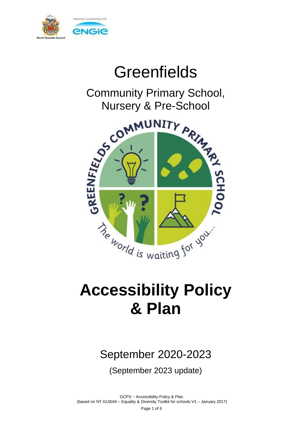

# **Greenfields**

Community Primary School, Nursery & Pre-School



# **Accessibility Policy & Plan**

## September 2020-2023

(September 2023 update)

GCPS ~ Accessibility Policy & Plan (based on NT GUI044 – Equality & Diversity Toolkit for schools V1 – January 2017) Page 1 of 6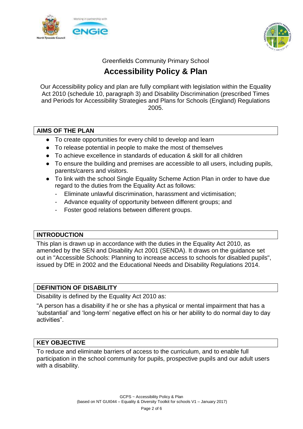



Greenfields Community Primary School

### **Accessibility Policy & Plan**

Our Accessibility policy and plan are fully compliant with legislation within the Equality Act 2010 (schedule 10, paragraph 3) and Disability Discrimination (prescribed Times and Periods for Accessibility Strategies and Plans for Schools (England) Regulations 2005.

#### **AIMS OF THE PLAN**

- To create opportunities for every child to develop and learn
- To release potential in people to make the most of themselves
- To achieve excellence in standards of education & skill for all children
- To ensure the building and premises are accessible to all users, including pupils, parents/carers and visitors.
- To link with the school Single Equality Scheme Action Plan in order to have due regard to the duties from the Equality Act as follows:
	- Eliminate unlawful discrimination, harassment and victimisation;
	- Advance equality of opportunity between different groups; and
	- Foster good relations between different groups.

#### **INTRODUCTION**

This plan is drawn up in accordance with the duties in the Equality Act 2010, as amended by the SEN and Disability Act 2001 (SENDA). It draws on the guidance set out in "Accessible Schools: Planning to increase access to schools for disabled pupils", issued by DfE in 2002 and the Educational Needs and Disability Regulations 2014.

#### **DEFINITION OF DISABILITY**

Disability is defined by the Equality Act 2010 as:

"A person has a disability if he or she has a physical or mental impairment that has a 'substantial' and 'long-term' negative effect on his or her ability to do normal day to day activities".

#### **KEY OBJECTIVE**

To reduce and eliminate barriers of access to the curriculum, and to enable full participation in the school community for pupils, prospective pupils and our adult users with a disability.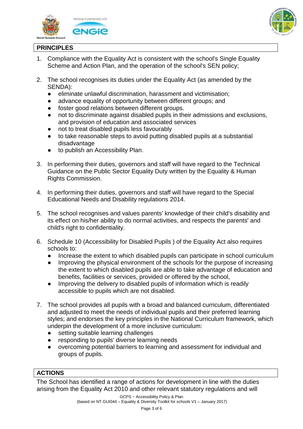



#### **PRINCIPLES**

- 1. Compliance with the Equality Act is consistent with the school's Single Equality Scheme and Action Plan, and the operation of the school's SEN policy;
- 2. The school recognises its duties under the Equality Act (as amended by the SENDA):
	- eliminate unlawful discrimination, harassment and victimisation;
	- advance equality of opportunity between different groups; and
	- foster good relations between different groups.
	- not to discriminate against disabled pupils in their admissions and exclusions, and provision of education and associated services
	- not to treat disabled pupils less favourably
	- to take reasonable steps to avoid putting disabled pupils at a substantial disadvantage
	- to publish an Accessibility Plan.
- 3. In performing their duties, governors and staff will have regard to the Technical Guidance on the Public Sector Equality Duty written by the Equality & Human Rights Commission.
- 4. In performing their duties, governors and staff will have regard to the Special Educational Needs and Disability regulations 2014.
- 5. The school recognises and values parents' knowledge of their child's disability and its effect on his/her ability to do normal activities, and respects the parents' and child's right to confidentiality.
- 6. Schedule 10 (Accessibility for Disabled Pupils ) of the Equality Act also requires schools to:
	- Increase the extent to which disabled pupils can participate in school curriculum
	- Improving the physical environment of the schools for the purpose of increasing the extent to which disabled pupils are able to take advantage of education and benefits, facilities or services, provided or offered by the school,
	- Improving the delivery to disabled pupils of information which is readily accessible to pupils which are not disabled.
- 7. The school provides all pupils with a broad and balanced curriculum, differentiated and adjusted to meet the needs of individual pupils and their preferred learning styles; and endorses the key principles in the National Curriculum framework, which underpin the development of a more inclusive curriculum:
	- setting suitable learning challenges
	- responding to pupils' diverse learning needs
	- overcoming potential barriers to learning and assessment for individual and groups of pupils.

#### **ACTIONS**

The School has identified a range of actions for development in line with the duties arising from the Equality Act 2010 and other relevant statutory regulations and will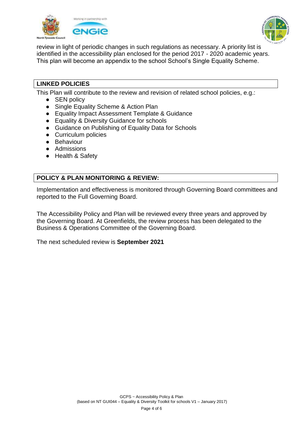



review in light of periodic changes in such regulations as necessary. A priority list is identified in the accessibility plan enclosed for the period 2017 - 2020 academic years. This plan will become an appendix to the school School's Single Equality Scheme.

#### **LINKED POLICIES**

This Plan will contribute to the review and revision of related school policies, e.g.:

- SEN policy
- Single Equality Scheme & Action Plan
- Equality Impact Assessment Template & Guidance
- Equality & Diversity Guidance for schools
- Guidance on Publishing of Equality Data for Schools
- Curriculum policies
- Behaviour
- Admissions
- Health & Safety

#### **POLICY & PLAN MONITORING & REVIEW:**

Implementation and effectiveness is monitored through Governing Board committees and reported to the Full Governing Board.

The Accessibility Policy and Plan will be reviewed every three years and approved by the Governing Board. At Greenfields, the review process has been delegated to the Business & Operations Committee of the Governing Board.

The next scheduled review is **September 2021**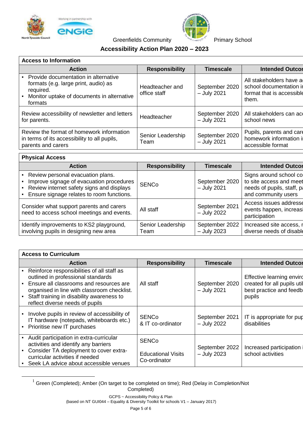



Greenfields Community **Primary School** 

#### **Accessibility Action Plan 2020 – 2023**

| <b>Access to Information</b>                                                                                                                       |                                 |                                 |                                                                                          |  |  |
|----------------------------------------------------------------------------------------------------------------------------------------------------|---------------------------------|---------------------------------|------------------------------------------------------------------------------------------|--|--|
| <b>Action</b>                                                                                                                                      | <b>Responsibility</b>           | <b>Timescale</b>                | <b>Intended Outcor</b>                                                                   |  |  |
| Provide documentation in alternative<br>formats (e.g. large print, audio) as<br>required.<br>Monitor uptake of documents in alternative<br>formats | Headteacher and<br>office staff | September 2020<br>$-$ July 2021 | All stakeholders have a<br>school documentation in<br>format that is accessible<br>them. |  |  |
| Review accessibility of newsletter and letters<br>for parents.                                                                                     | Headteacher                     | September 2020<br>$-$ July 2021 | All stakeholders can act<br>school news                                                  |  |  |
| Review the format of homework information<br>in terms of its accessibility to all pupils,<br>parents and carers                                    | Senior Leadership<br>Team       | September 2020<br>$-$ July 2021 | Pupils, parents and care<br>homework information in<br>accessible format                 |  |  |

#### **Physical Access**

 $\overline{a}$ 

| <b>Responsibility</b><br><b>Timescale</b><br><b>Action</b><br>• Review personal evacuation plans.<br>Improve signage of evacuation procedures<br>September 2020<br><b>SENCo</b><br>• Review internet safety signs and displays<br>$-$ July 2021<br>- Ensure signage relates to room functions.<br>and community users<br>Consider what support parents and carers<br>September 2021<br>All staff<br>need to access school meetings and events.<br>- July 2022<br>participation<br>September 2022<br>Identify improvements to KS2 playground,<br>Senior Leadership |                                        |      |             |                          |  |  |
|-------------------------------------------------------------------------------------------------------------------------------------------------------------------------------------------------------------------------------------------------------------------------------------------------------------------------------------------------------------------------------------------------------------------------------------------------------------------------------------------------------------------------------------------------------------------|----------------------------------------|------|-------------|--------------------------|--|--|
| Signs around school co<br>to site access and meet<br>needs of pupils, staff, pa                                                                                                                                                                                                                                                                                                                                                                                                                                                                                   |                                        |      |             | <b>Intended Outcor</b>   |  |  |
| Access issues addresse<br>events happen, increasi<br>Increased site access, r                                                                                                                                                                                                                                                                                                                                                                                                                                                                                     |                                        |      |             |                          |  |  |
|                                                                                                                                                                                                                                                                                                                                                                                                                                                                                                                                                                   |                                        |      |             |                          |  |  |
|                                                                                                                                                                                                                                                                                                                                                                                                                                                                                                                                                                   | involving pupils in designing new area | Team | - July 2023 | diverse needs of disable |  |  |

| <b>Access to Curriculum</b>                                                                                                                                                                                                                                |                                                           |                                 |                                                                                               |  |  |
|------------------------------------------------------------------------------------------------------------------------------------------------------------------------------------------------------------------------------------------------------------|-----------------------------------------------------------|---------------------------------|-----------------------------------------------------------------------------------------------|--|--|
| <b>Action</b>                                                                                                                                                                                                                                              | <b>Responsibility</b>                                     | <b>Timescale</b>                | <b>Intended Outcor</b>                                                                        |  |  |
| Reinforce responsibilities of all staff as<br>outlined in professional standards<br>Ensure all classrooms and resources are<br>organised in line with classroom checklist.<br>Staff training in disability awareness to<br>reflect diverse needs of pupils | All staff                                                 | September 2020<br>$-$ July 2021 | Effective learning envirg<br>created for all pupils util<br>best practice and feedb<br>pupils |  |  |
| Involve pupils in review of accessibility of<br>IT hardware (notepads, whiteboards etc.)<br>Prioritise new IT purchases                                                                                                                                    | <b>SENCo</b><br>& IT co-ordinator                         | September 2021<br>$-$ July 2022 | IT is appropriate for pup<br>disabilities                                                     |  |  |
| Audit participation in extra-curricular<br>activities and identify any barriers<br>Consider TA deployment to cover extra-<br>curricular activities if needed<br>Seek LA advice about accessible venues                                                     | <b>SENCo</b><br><b>Educational Visits</b><br>Co-ordinator | September 2022<br>$-$ July 2023 | Increased participation<br>school activities                                                  |  |  |

 $1$  Green (Completed); Amber (On target to be completed on time); Red (Delay in Completion/Not Completed)